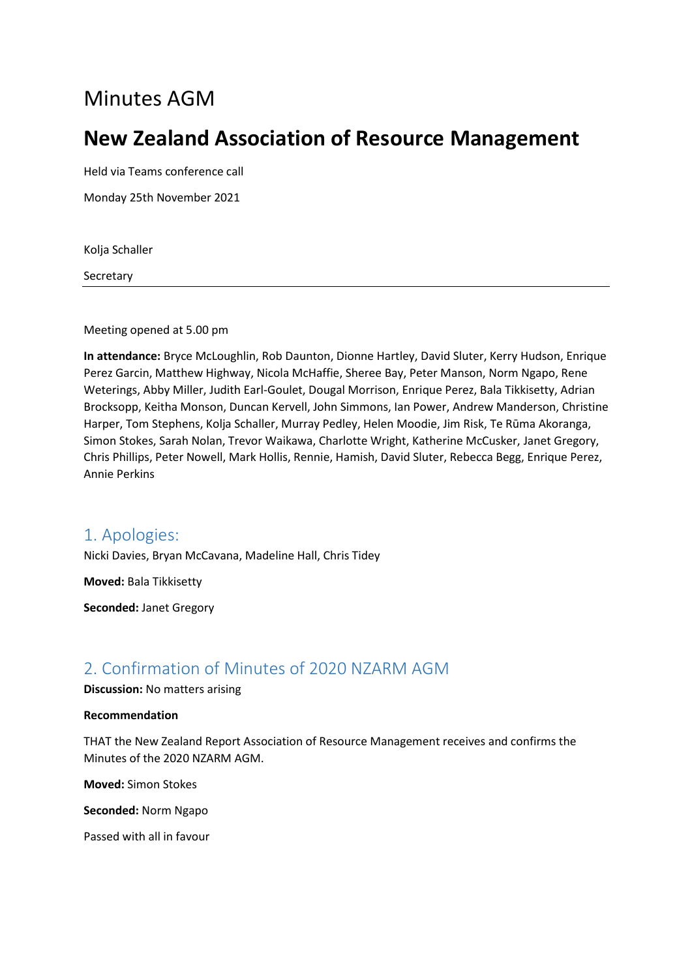# Minutes AGM

# **New Zealand Association of Resource Management**

Held via Teams conference call

Monday 25th November 2021

Kolja Schaller

**Secretary** 

Meeting opened at 5.00 pm

**In attendance:** Bryce McLoughlin, Rob Daunton, Dionne Hartley, David Sluter, Kerry Hudson, Enrique Perez Garcin, Matthew Highway, Nicola McHaffie, Sheree Bay, Peter Manson, Norm Ngapo, Rene Weterings, Abby Miller, Judith Earl-Goulet, Dougal Morrison, Enrique Perez, Bala Tikkisetty, Adrian Brocksopp, Keitha Monson, Duncan Kervell, John Simmons, Ian Power, Andrew Manderson, Christine Harper, Tom Stephens, Kolja Schaller, Murray Pedley, Helen Moodie, Jim Risk, Te Rūma Akoranga, Simon Stokes, Sarah Nolan, Trevor Waikawa, Charlotte Wright, Katherine McCusker, Janet Gregory, Chris Phillips, Peter Nowell, Mark Hollis, Rennie, Hamish, David Sluter, Rebecca Begg, Enrique Perez, Annie Perkins

### 1. Apologies:

Nicki Davies, Bryan McCavana, Madeline Hall, Chris Tidey

**Moved:** Bala Tikkisetty

**Seconded:** Janet Gregory

## 2. Confirmation of Minutes of 2020 NZARM AGM

#### **Discussion:** No matters arising

#### **Recommendation**

THAT the New Zealand Report Association of Resource Management receives and confirms the Minutes of the 2020 NZARM AGM.

**Moved:** Simon Stokes

**Seconded:** Norm Ngapo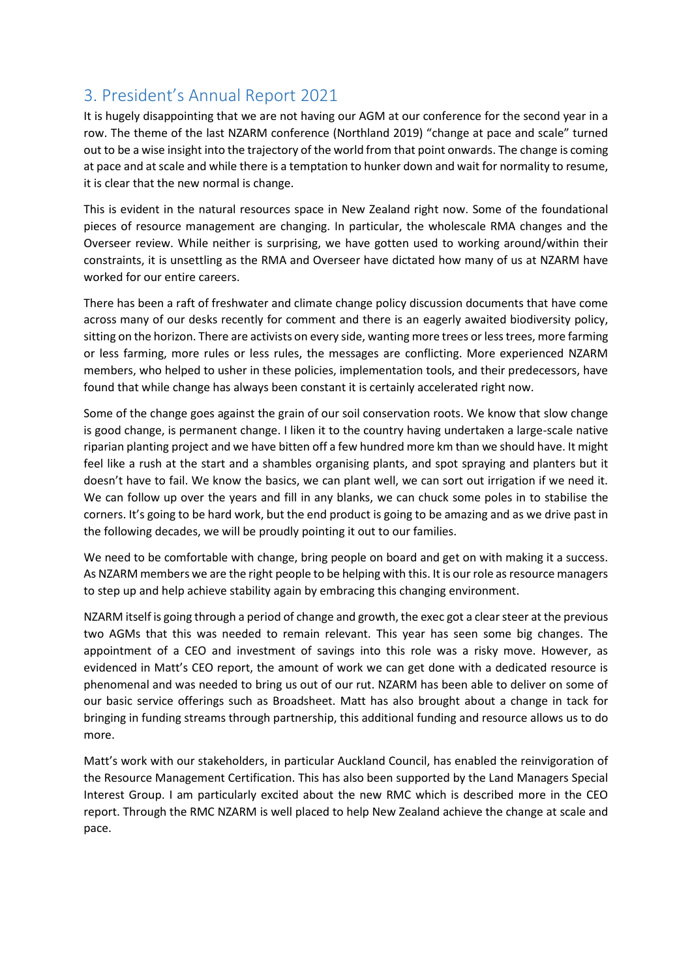# 3. President's Annual Report 2021

It is hugely disappointing that we are not having our AGM at our conference for the second year in a row. The theme of the last NZARM conference (Northland 2019) "change at pace and scale" turned out to be a wise insight into the trajectory of the world from that point onwards. The change is coming at pace and at scale and while there is a temptation to hunker down and wait for normality to resume, it is clear that the new normal is change.

This is evident in the natural resources space in New Zealand right now. Some of the foundational pieces of resource management are changing. In particular, the wholescale RMA changes and the Overseer review. While neither is surprising, we have gotten used to working around/within their constraints, it is unsettling as the RMA and Overseer have dictated how many of us at NZARM have worked for our entire careers.

There has been a raft of freshwater and climate change policy discussion documents that have come across many of our desks recently for comment and there is an eagerly awaited biodiversity policy, sitting on the horizon. There are activists on every side, wanting more trees or less trees, more farming or less farming, more rules or less rules, the messages are conflicting. More experienced NZARM members, who helped to usher in these policies, implementation tools, and their predecessors, have found that while change has always been constant it is certainly accelerated right now.

Some of the change goes against the grain of our soil conservation roots. We know that slow change is good change, is permanent change. I liken it to the country having undertaken a large-scale native riparian planting project and we have bitten off a few hundred more km than we should have. It might feel like a rush at the start and a shambles organising plants, and spot spraying and planters but it doesn't have to fail. We know the basics, we can plant well, we can sort out irrigation if we need it. We can follow up over the years and fill in any blanks, we can chuck some poles in to stabilise the corners. It's going to be hard work, but the end product is going to be amazing and as we drive past in the following decades, we will be proudly pointing it out to our families.

We need to be comfortable with change, bring people on board and get on with making it a success. As NZARM members we are the right people to be helping with this. It is our role as resource managers to step up and help achieve stability again by embracing this changing environment.

NZARM itself is going through a period of change and growth, the exec got a clear steer at the previous two AGMs that this was needed to remain relevant. This year has seen some big changes. The appointment of a CEO and investment of savings into this role was a risky move. However, as evidenced in Matt's CEO report, the amount of work we can get done with a dedicated resource is phenomenal and was needed to bring us out of our rut. NZARM has been able to deliver on some of our basic service offerings such as Broadsheet. Matt has also brought about a change in tack for bringing in funding streams through partnership, this additional funding and resource allows us to do more.

Matt's work with our stakeholders, in particular Auckland Council, has enabled the reinvigoration of the Resource Management Certification. This has also been supported by the Land Managers Special Interest Group. I am particularly excited about the new RMC which is described more in the CEO report. Through the RMC NZARM is well placed to help New Zealand achieve the change at scale and pace.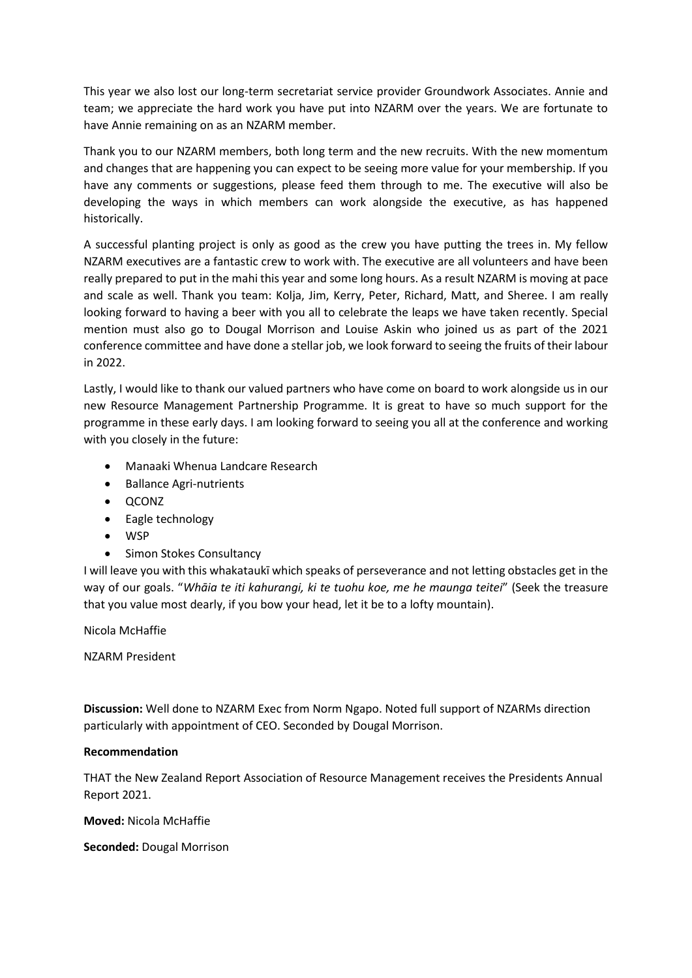This year we also lost our long-term secretariat service provider Groundwork Associates. Annie and team; we appreciate the hard work you have put into NZARM over the years. We are fortunate to have Annie remaining on as an NZARM member.

Thank you to our NZARM members, both long term and the new recruits. With the new momentum and changes that are happening you can expect to be seeing more value for your membership. If you have any comments or suggestions, please feed them through to me. The executive will also be developing the ways in which members can work alongside the executive, as has happened historically.

A successful planting project is only as good as the crew you have putting the trees in. My fellow NZARM executives are a fantastic crew to work with. The executive are all volunteers and have been really prepared to put in the mahi this year and some long hours. As a result NZARM is moving at pace and scale as well. Thank you team: Kolja, Jim, Kerry, Peter, Richard, Matt, and Sheree. I am really looking forward to having a beer with you all to celebrate the leaps we have taken recently. Special mention must also go to Dougal Morrison and Louise Askin who joined us as part of the 2021 conference committee and have done a stellar job, we look forward to seeing the fruits of their labour in 2022.

Lastly, I would like to thank our valued partners who have come on board to work alongside us in our new Resource Management Partnership Programme. It is great to have so much support for the programme in these early days. I am looking forward to seeing you all at the conference and working with you closely in the future:

- Manaaki Whenua Landcare Research
- Ballance Agri-nutrients
- QCONZ
- Eagle technology
- WSP
- Simon Stokes Consultancy

I will leave you with this whakataukī which speaks of perseverance and not letting obstacles get in the way of our goals. "*Whāia te iti kahurangi, ki te tuohu koe, me he maunga teitei*" (Seek the treasure that you value most dearly, if you bow your head, let it be to a lofty mountain).

Nicola McHaffie

NZARM President

**Discussion:** Well done to NZARM Exec from Norm Ngapo. Noted full support of NZARMs direction particularly with appointment of CEO. Seconded by Dougal Morrison.

#### **Recommendation**

THAT the New Zealand Report Association of Resource Management receives the Presidents Annual Report 2021.

**Moved:** Nicola McHaffie

**Seconded:** Dougal Morrison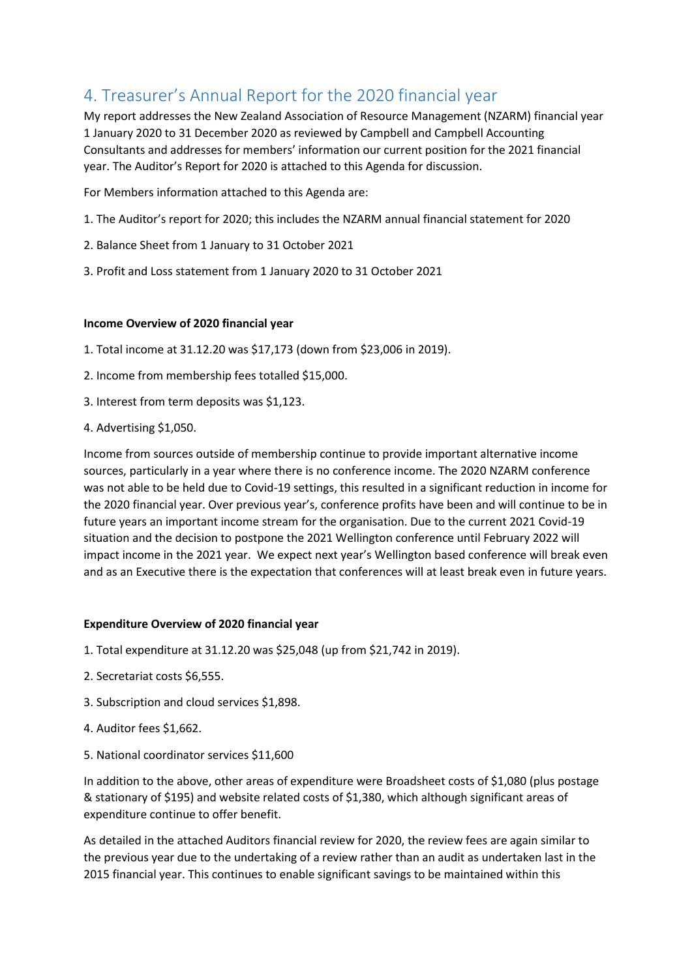# 4. Treasurer's Annual Report for the 2020 financial year

My report addresses the New Zealand Association of Resource Management (NZARM) financial year 1 January 2020 to 31 December 2020 as reviewed by Campbell and Campbell Accounting Consultants and addresses for members' information our current position for the 2021 financial year. The Auditor's Report for 2020 is attached to this Agenda for discussion.

For Members information attached to this Agenda are:

- 1. The Auditor's report for 2020; this includes the NZARM annual financial statement for 2020
- 2. Balance Sheet from 1 January to 31 October 2021
- 3. Profit and Loss statement from 1 January 2020 to 31 October 2021

#### **Income Overview of 2020 financial year**

- 1. Total income at 31.12.20 was \$17,173 (down from \$23,006 in 2019).
- 2. Income from membership fees totalled \$15,000.
- 3. Interest from term deposits was \$1,123.
- 4. Advertising \$1,050.

Income from sources outside of membership continue to provide important alternative income sources, particularly in a year where there is no conference income. The 2020 NZARM conference was not able to be held due to Covid-19 settings, this resulted in a significant reduction in income for the 2020 financial year. Over previous year's, conference profits have been and will continue to be in future years an important income stream for the organisation. Due to the current 2021 Covid-19 situation and the decision to postpone the 2021 Wellington conference until February 2022 will impact income in the 2021 year. We expect next year's Wellington based conference will break even and as an Executive there is the expectation that conferences will at least break even in future years.

#### **Expenditure Overview of 2020 financial year**

- 1. Total expenditure at 31.12.20 was \$25,048 (up from \$21,742 in 2019).
- 2. Secretariat costs \$6,555.
- 3. Subscription and cloud services \$1,898.
- 4. Auditor fees \$1,662.
- 5. National coordinator services \$11,600

In addition to the above, other areas of expenditure were Broadsheet costs of \$1,080 (plus postage & stationary of \$195) and website related costs of \$1,380, which although significant areas of expenditure continue to offer benefit.

As detailed in the attached Auditors financial review for 2020, the review fees are again similar to the previous year due to the undertaking of a review rather than an audit as undertaken last in the 2015 financial year. This continues to enable significant savings to be maintained within this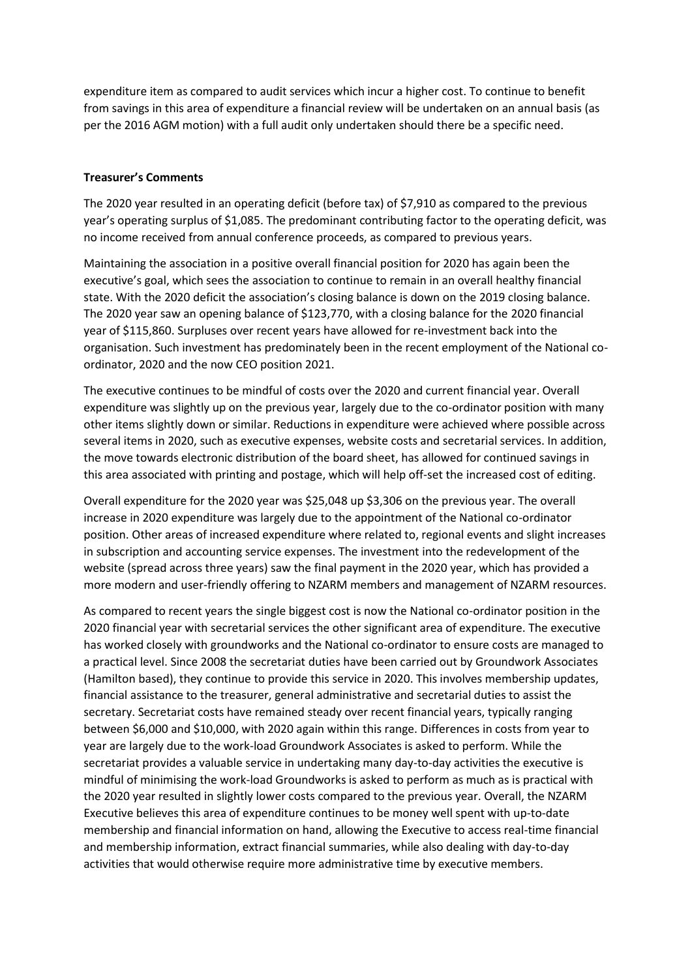expenditure item as compared to audit services which incur a higher cost. To continue to benefit from savings in this area of expenditure a financial review will be undertaken on an annual basis (as per the 2016 AGM motion) with a full audit only undertaken should there be a specific need.

#### **Treasurer's Comments**

The 2020 year resulted in an operating deficit (before tax) of \$7,910 as compared to the previous year's operating surplus of \$1,085. The predominant contributing factor to the operating deficit, was no income received from annual conference proceeds, as compared to previous years.

Maintaining the association in a positive overall financial position for 2020 has again been the executive's goal, which sees the association to continue to remain in an overall healthy financial state. With the 2020 deficit the association's closing balance is down on the 2019 closing balance. The 2020 year saw an opening balance of \$123,770, with a closing balance for the 2020 financial year of \$115,860. Surpluses over recent years have allowed for re-investment back into the organisation. Such investment has predominately been in the recent employment of the National coordinator, 2020 and the now CEO position 2021.

The executive continues to be mindful of costs over the 2020 and current financial year. Overall expenditure was slightly up on the previous year, largely due to the co-ordinator position with many other items slightly down or similar. Reductions in expenditure were achieved where possible across several items in 2020, such as executive expenses, website costs and secretarial services. In addition, the move towards electronic distribution of the board sheet, has allowed for continued savings in this area associated with printing and postage, which will help off-set the increased cost of editing.

Overall expenditure for the 2020 year was \$25,048 up \$3,306 on the previous year. The overall increase in 2020 expenditure was largely due to the appointment of the National co-ordinator position. Other areas of increased expenditure where related to, regional events and slight increases in subscription and accounting service expenses. The investment into the redevelopment of the website (spread across three years) saw the final payment in the 2020 year, which has provided a more modern and user-friendly offering to NZARM members and management of NZARM resources.

As compared to recent years the single biggest cost is now the National co-ordinator position in the 2020 financial year with secretarial services the other significant area of expenditure. The executive has worked closely with groundworks and the National co-ordinator to ensure costs are managed to a practical level. Since 2008 the secretariat duties have been carried out by Groundwork Associates (Hamilton based), they continue to provide this service in 2020. This involves membership updates, financial assistance to the treasurer, general administrative and secretarial duties to assist the secretary. Secretariat costs have remained steady over recent financial years, typically ranging between \$6,000 and \$10,000, with 2020 again within this range. Differences in costs from year to year are largely due to the work-load Groundwork Associates is asked to perform. While the secretariat provides a valuable service in undertaking many day-to-day activities the executive is mindful of minimising the work-load Groundworks is asked to perform as much as is practical with the 2020 year resulted in slightly lower costs compared to the previous year. Overall, the NZARM Executive believes this area of expenditure continues to be money well spent with up-to-date membership and financial information on hand, allowing the Executive to access real-time financial and membership information, extract financial summaries, while also dealing with day-to-day activities that would otherwise require more administrative time by executive members.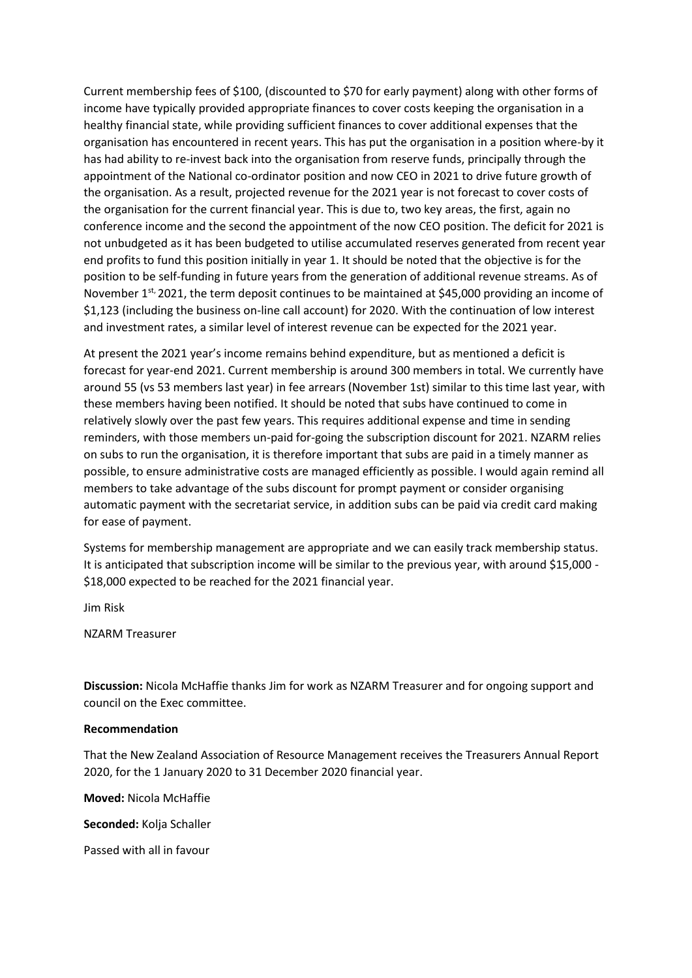Current membership fees of \$100, (discounted to \$70 for early payment) along with other forms of income have typically provided appropriate finances to cover costs keeping the organisation in a healthy financial state, while providing sufficient finances to cover additional expenses that the organisation has encountered in recent years. This has put the organisation in a position where-by it has had ability to re-invest back into the organisation from reserve funds, principally through the appointment of the National co-ordinator position and now CEO in 2021 to drive future growth of the organisation. As a result, projected revenue for the 2021 year is not forecast to cover costs of the organisation for the current financial year. This is due to, two key areas, the first, again no conference income and the second the appointment of the now CEO position. The deficit for 2021 is not unbudgeted as it has been budgeted to utilise accumulated reserves generated from recent year end profits to fund this position initially in year 1. It should be noted that the objective is for the position to be self-funding in future years from the generation of additional revenue streams. As of November 1<sup>st,</sup> 2021, the term deposit continues to be maintained at \$45,000 providing an income of \$1,123 (including the business on-line call account) for 2020. With the continuation of low interest and investment rates, a similar level of interest revenue can be expected for the 2021 year.

At present the 2021 year's income remains behind expenditure, but as mentioned a deficit is forecast for year-end 2021. Current membership is around 300 members in total. We currently have around 55 (vs 53 members last year) in fee arrears (November 1st) similar to this time last year, with these members having been notified. It should be noted that subs have continued to come in relatively slowly over the past few years. This requires additional expense and time in sending reminders, with those members un-paid for-going the subscription discount for 2021. NZARM relies on subs to run the organisation, it is therefore important that subs are paid in a timely manner as possible, to ensure administrative costs are managed efficiently as possible. I would again remind all members to take advantage of the subs discount for prompt payment or consider organising automatic payment with the secretariat service, in addition subs can be paid via credit card making for ease of payment.

Systems for membership management are appropriate and we can easily track membership status. It is anticipated that subscription income will be similar to the previous year, with around \$15,000 -\$18,000 expected to be reached for the 2021 financial year.

Jim Risk

NZARM Treasurer

**Discussion:** Nicola McHaffie thanks Jim for work as NZARM Treasurer and for ongoing support and council on the Exec committee.

#### **Recommendation**

That the New Zealand Association of Resource Management receives the Treasurers Annual Report 2020, for the 1 January 2020 to 31 December 2020 financial year.

**Moved:** Nicola McHaffie

**Seconded:** Kolja Schaller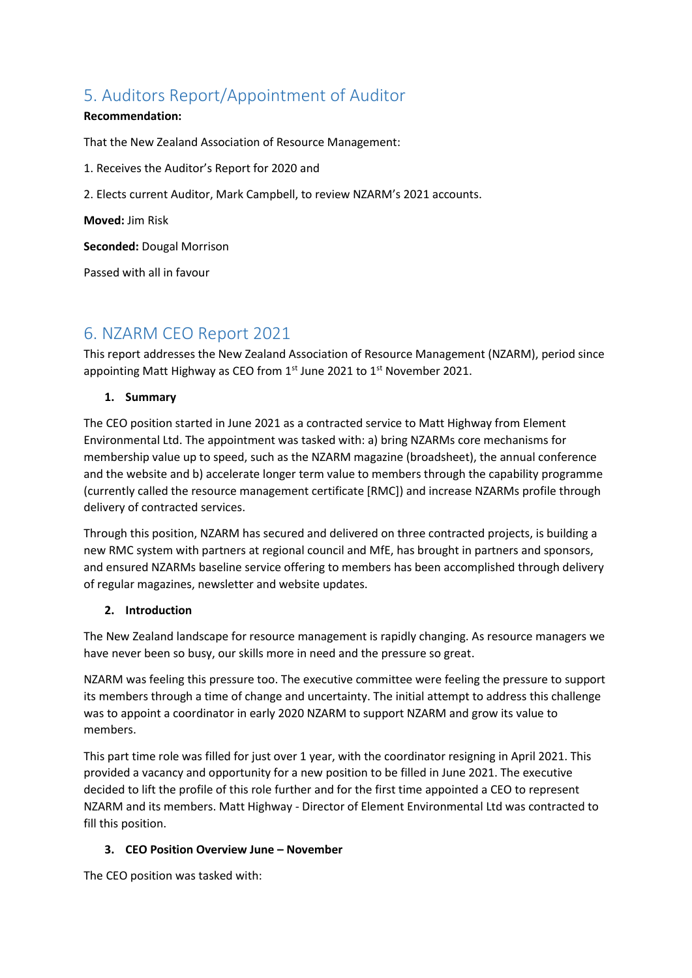# 5. Auditors Report/Appointment of Auditor

#### **Recommendation:**

That the New Zealand Association of Resource Management:

- 1. Receives the Auditor's Report for 2020 and
- 2. Elects current Auditor, Mark Campbell, to review NZARM's 2021 accounts.

**Moved:** Jim Risk

**Seconded:** Dougal Morrison

Passed with all in favour

# 6. NZARM CEO Report 2021

This report addresses the New Zealand Association of Resource Management (NZARM), period since appointing Matt Highway as CEO from  $1<sup>st</sup>$  June 2021 to  $1<sup>st</sup>$  November 2021.

#### **1. Summary**

The CEO position started in June 2021 as a contracted service to Matt Highway from Element Environmental Ltd. The appointment was tasked with: a) bring NZARMs core mechanisms for membership value up to speed, such as the NZARM magazine (broadsheet), the annual conference and the website and b) accelerate longer term value to members through the capability programme (currently called the resource management certificate [RMC]) and increase NZARMs profile through delivery of contracted services.

Through this position, NZARM has secured and delivered on three contracted projects, is building a new RMC system with partners at regional council and MfE, has brought in partners and sponsors, and ensured NZARMs baseline service offering to members has been accomplished through delivery of regular magazines, newsletter and website updates.

#### **2. Introduction**

The New Zealand landscape for resource management is rapidly changing. As resource managers we have never been so busy, our skills more in need and the pressure so great.

NZARM was feeling this pressure too. The executive committee were feeling the pressure to support its members through a time of change and uncertainty. The initial attempt to address this challenge was to appoint a coordinator in early 2020 NZARM to support NZARM and grow its value to members.

This part time role was filled for just over 1 year, with the coordinator resigning in April 2021. This provided a vacancy and opportunity for a new position to be filled in June 2021. The executive decided to lift the profile of this role further and for the first time appointed a CEO to represent NZARM and its members. Matt Highway - Director of Element Environmental Ltd was contracted to fill this position.

#### **3. CEO Position Overview June – November**

The CEO position was tasked with: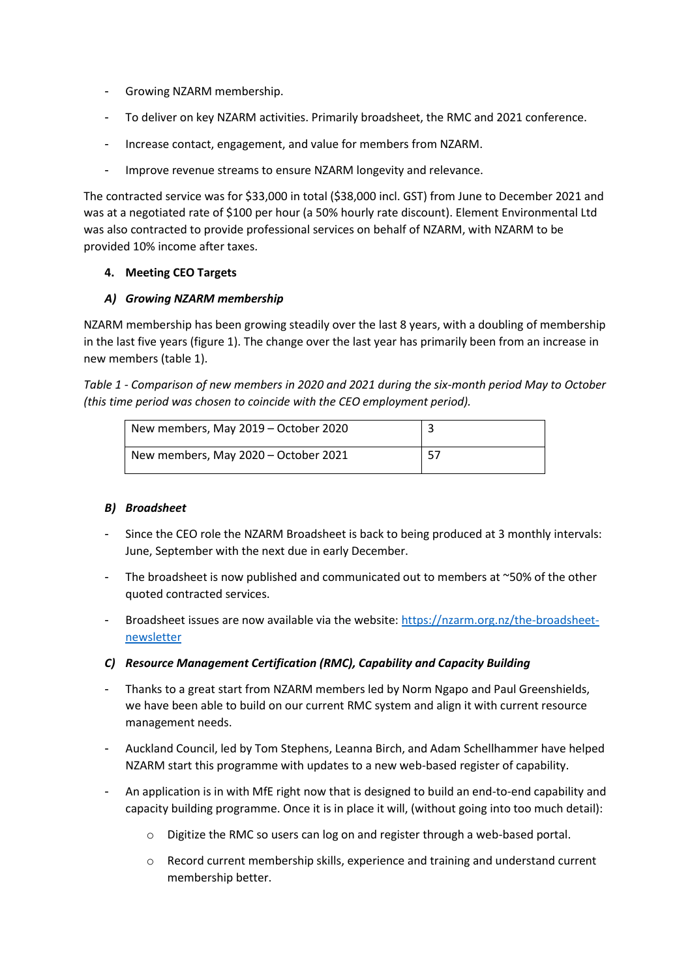- Growing NZARM membership.
- To deliver on key NZARM activities. Primarily broadsheet, the RMC and 2021 conference.
- Increase contact, engagement, and value for members from NZARM.
- Improve revenue streams to ensure NZARM longevity and relevance.

The contracted service was for \$33,000 in total (\$38,000 incl. GST) from June to December 2021 and was at a negotiated rate of \$100 per hour (a 50% hourly rate discount). Element Environmental Ltd was also contracted to provide professional services on behalf of NZARM, with NZARM to be provided 10% income after taxes.

#### **4. Meeting CEO Targets**

#### *A) Growing NZARM membership*

NZARM membership has been growing steadily over the last 8 years, with a doubling of membership in the last five years (figure 1). The change over the last year has primarily been from an increase in new members (table 1).

*Table 1 - Comparison of new members in 2020 and 2021 during the six-month period May to October (this time period was chosen to coincide with the CEO employment period).*

| New members, May 2019 – October 2020 |    |
|--------------------------------------|----|
| New members, May 2020 – October 2021 | 57 |

#### *B) Broadsheet*

- Since the CEO role the NZARM Broadsheet is back to being produced at 3 monthly intervals: June, September with the next due in early December.
- The broadsheet is now published and communicated out to members at  $~50\%$  of the other quoted contracted services.
- Broadsheet issues are now available via the website: [https://nzarm.org.nz/the-broadsheet](https://nzarm.org.nz/the-broadsheet-newsletter)[newsletter](https://nzarm.org.nz/the-broadsheet-newsletter)
- *C) Resource Management Certification (RMC), Capability and Capacity Building*
- Thanks to a great start from NZARM members led by Norm Ngapo and Paul Greenshields, we have been able to build on our current RMC system and align it with current resource management needs.
- Auckland Council, led by Tom Stephens, Leanna Birch, and Adam Schellhammer have helped NZARM start this programme with updates to a new web-based register of capability.
- An application is in with MfE right now that is designed to build an end-to-end capability and capacity building programme. Once it is in place it will, (without going into too much detail):
	- o Digitize the RMC so users can log on and register through a web-based portal.
	- $\circ$  Record current membership skills, experience and training and understand current membership better.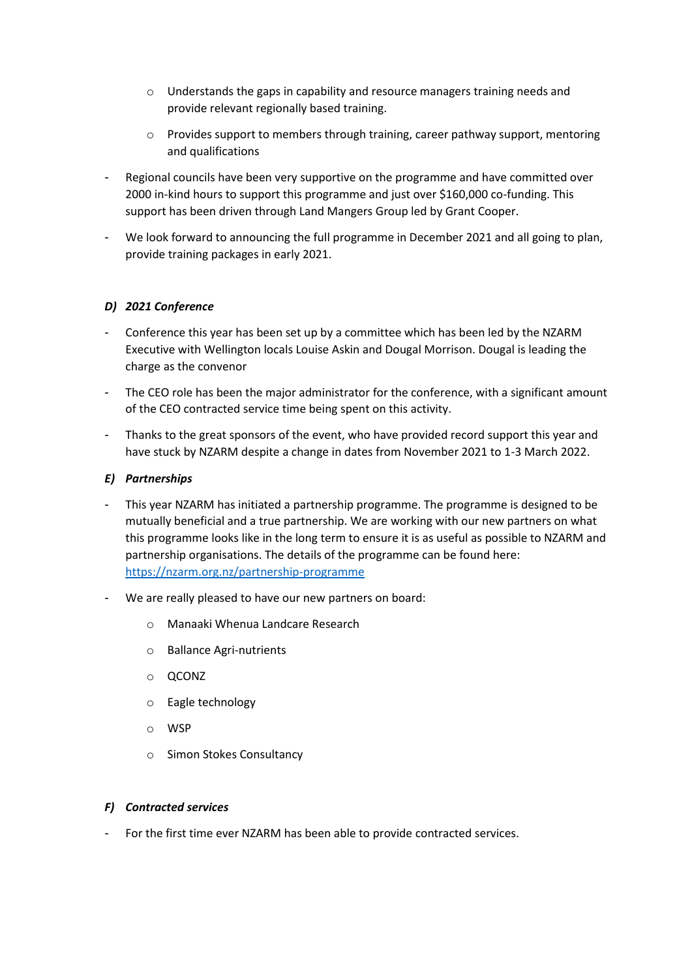- o Understands the gaps in capability and resource managers training needs and provide relevant regionally based training.
- $\circ$  Provides support to members through training, career pathway support, mentoring and qualifications
- Regional councils have been very supportive on the programme and have committed over 2000 in-kind hours to support this programme and just over \$160,000 co-funding. This support has been driven through Land Mangers Group led by Grant Cooper.
- We look forward to announcing the full programme in December 2021 and all going to plan, provide training packages in early 2021.

#### *D) 2021 Conference*

- Conference this year has been set up by a committee which has been led by the NZARM Executive with Wellington locals Louise Askin and Dougal Morrison. Dougal is leading the charge as the convenor
- The CEO role has been the major administrator for the conference, with a significant amount of the CEO contracted service time being spent on this activity.
- Thanks to the great sponsors of the event, who have provided record support this year and have stuck by NZARM despite a change in dates from November 2021 to 1-3 March 2022.

#### *E) Partnerships*

- This year NZARM has initiated a partnership programme. The programme is designed to be mutually beneficial and a true partnership. We are working with our new partners on what this programme looks like in the long term to ensure it is as useful as possible to NZARM and partnership organisations. The details of the programme can be found here: <https://nzarm.org.nz/partnership-programme>
- We are really pleased to have our new partners on board:
	- o Manaaki Whenua Landcare Research
	- o Ballance Agri-nutrients
	- o QCONZ
	- o Eagle technology
	- o WSP
	- o Simon Stokes Consultancy

#### *F) Contracted services*

For the first time ever NZARM has been able to provide contracted services.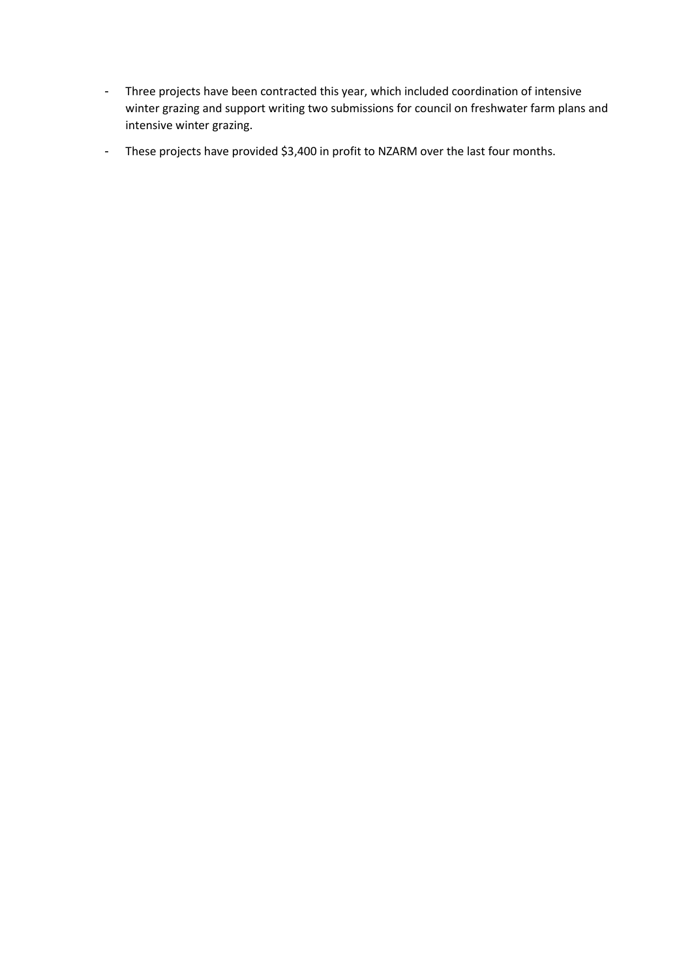- Three projects have been contracted this year, which included coordination of intensive winter grazing and support writing two submissions for council on freshwater farm plans and intensive winter grazing.
- These projects have provided \$3,400 in profit to NZARM over the last four months.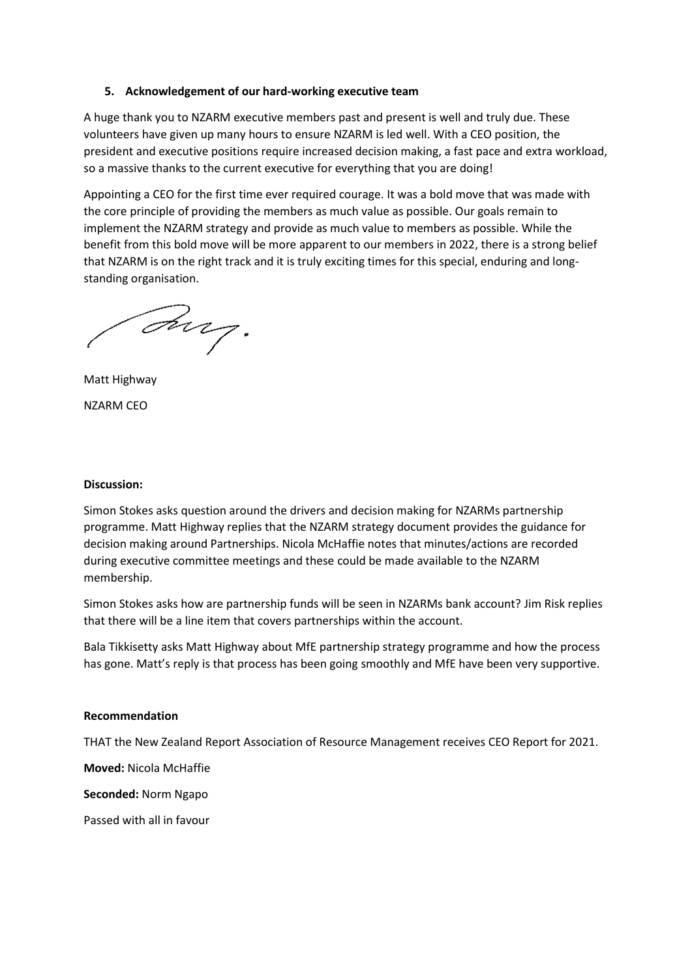#### **5. Acknowledgement of our hard-working executive team**

A huge thank you to NZARM executive members past and present is well and truly due. These volunteers have given up many hours to ensure NZARM is led well. With a CEO position, the president and executive positions require increased decision making, a fast pace and extra workload, so a massive thanks to the current executive for everything that you are doing!

Appointing a CEO for the first time ever required courage. It was a bold move that was made with the core principle of providing the members as much value as possible. Our goals remain to implement the NZARM strategy and provide as much value to members as possible. While the benefit from this bold move will be more apparent to our members in 2022, there is a strong belief that NZARM is on the right track and it is truly exciting times for this special, enduring and longstanding organisation.

Ing.

Matt Highway NZARM CEO

#### **Discussion:**

Simon Stokes asks question around the drivers and decision making for NZARMs partnership programme. Matt Highway replies that the NZARM strategy document provides the guidance for decision making around Partnerships. Nicola McHaffie notes that minutes/actions are recorded during executive committee meetings and these could be made available to the NZARM membership.

Simon Stokes asks how are partnership funds will be seen in NZARMs bank account? Jim Risk replies that there will be a line item that covers partnerships within the account.

Bala Tikkisetty asks Matt Highway about MfE partnership strategy programme and how the process has gone. Matt's reply is that process has been going smoothly and MfE have been very supportive.

#### **Recommendation**

THAT the New Zealand Report Association of Resource Management receives CEO Report for 2021.

**Moved:** Nicola McHaffie

**Seconded:** Norm Ngapo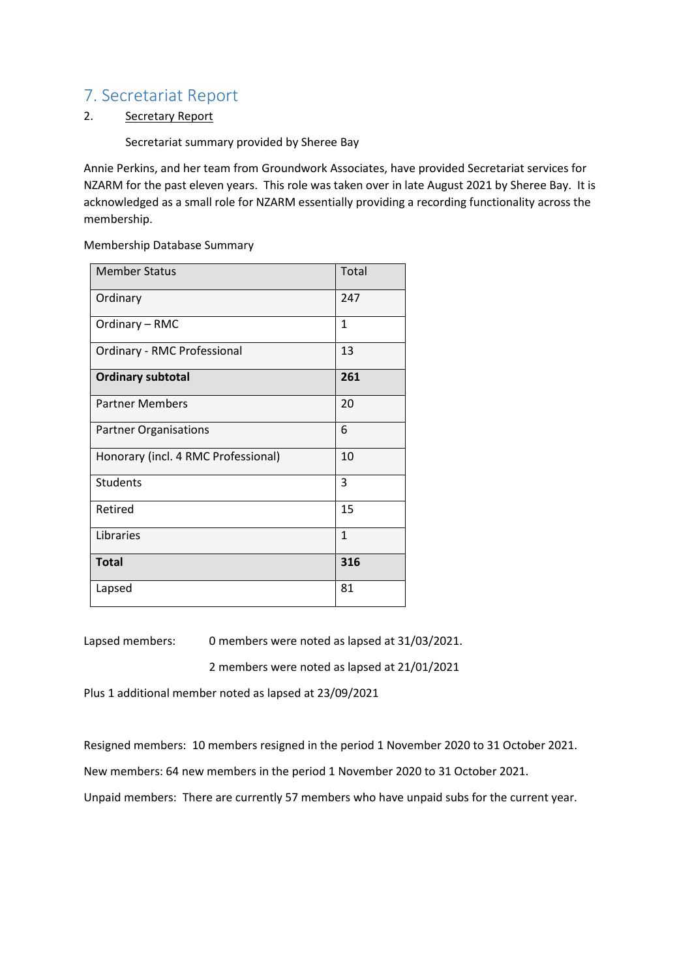## 7. Secretariat Report

#### 2. Secretary Report

Secretariat summary provided by Sheree Bay

Annie Perkins, and her team from Groundwork Associates, have provided Secretariat services for NZARM for the past eleven years. This role was taken over in late August 2021 by Sheree Bay. It is acknowledged as a small role for NZARM essentially providing a recording functionality across the membership.

Membership Database Summary

| <b>Member Status</b>                | Total        |
|-------------------------------------|--------------|
| Ordinary                            | 247          |
| Ordinary - RMC                      | 1            |
| Ordinary - RMC Professional         | 13           |
| <b>Ordinary subtotal</b>            | 261          |
| <b>Partner Members</b>              | 20           |
| <b>Partner Organisations</b>        | 6            |
| Honorary (incl. 4 RMC Professional) | 10           |
| <b>Students</b>                     | 3            |
| Retired                             | 15           |
| Libraries                           | $\mathbf{1}$ |
| <b>Total</b>                        | 316          |
| Lapsed                              | 81           |

Lapsed members: 0 members were noted as lapsed at 31/03/2021.

2 members were noted as lapsed at 21/01/2021

Plus 1 additional member noted as lapsed at 23/09/2021

Resigned members: 10 members resigned in the period 1 November 2020 to 31 October 2021.

New members: 64 new members in the period 1 November 2020 to 31 October 2021.

Unpaid members: There are currently 57 members who have unpaid subs for the current year.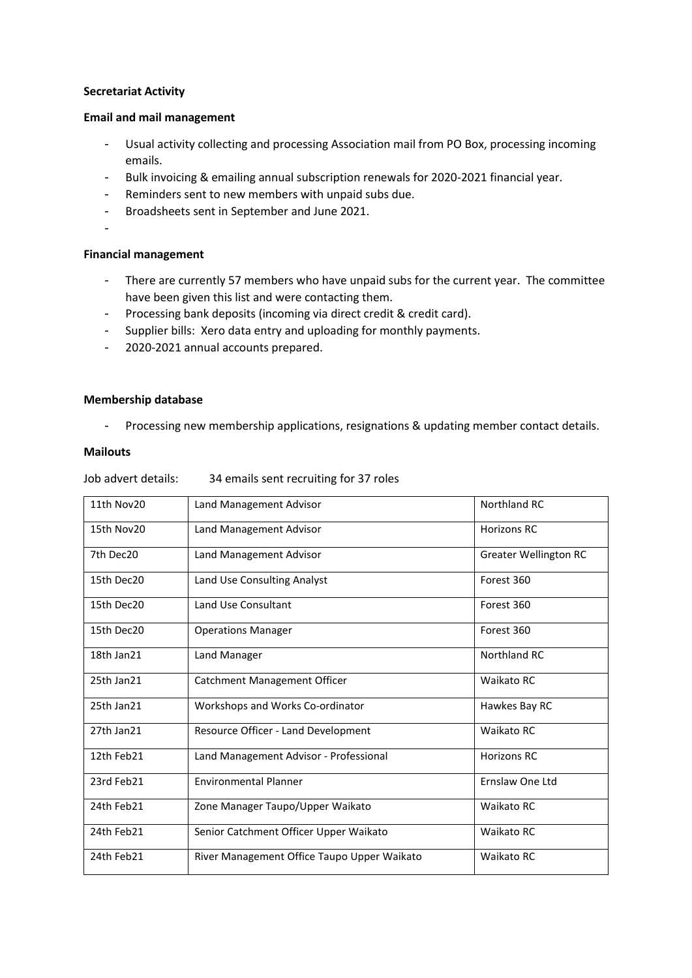#### **Secretariat Activity**

#### **Email and mail management**

- Usual activity collecting and processing Association mail from PO Box, processing incoming emails.
- Bulk invoicing & emailing annual subscription renewals for 2020-2021 financial year.
- Reminders sent to new members with unpaid subs due.
- Broadsheets sent in September and June 2021.
- -

#### **Financial management**

- There are currently 57 members who have unpaid subs for the current year. The committee have been given this list and were contacting them.
- Processing bank deposits (incoming via direct credit & credit card).
- Supplier bills: Xero data entry and uploading for monthly payments.
- 2020-2021 annual accounts prepared.

#### **Membership database**

- Processing new membership applications, resignations & updating member contact details.

#### **Mailouts**

Job advert details: 34 emails sent recruiting for 37 roles

| 11th Nov20 | Land Management Advisor                     | Northland RC                 |
|------------|---------------------------------------------|------------------------------|
| 15th Nov20 | Land Management Advisor                     | <b>Horizons RC</b>           |
| 7th Dec20  | Land Management Advisor                     | <b>Greater Wellington RC</b> |
| 15th Dec20 | Land Use Consulting Analyst                 | Forest 360                   |
| 15th Dec20 | Land Use Consultant                         | Forest 360                   |
| 15th Dec20 | <b>Operations Manager</b>                   | Forest 360                   |
| 18th Jan21 | Land Manager                                | Northland RC                 |
| 25th Jan21 | Catchment Management Officer                | Waikato RC                   |
| 25th Jan21 | Workshops and Works Co-ordinator            | Hawkes Bay RC                |
| 27th Jan21 | Resource Officer - Land Development         | Waikato RC                   |
| 12th Feb21 | Land Management Advisor - Professional      | <b>Horizons RC</b>           |
| 23rd Feb21 | <b>Environmental Planner</b>                | Ernslaw One Ltd              |
| 24th Feb21 | Zone Manager Taupo/Upper Waikato            | Waikato RC                   |
| 24th Feb21 | Senior Catchment Officer Upper Waikato      | Waikato RC                   |
| 24th Feb21 | River Management Office Taupo Upper Waikato | Waikato RC                   |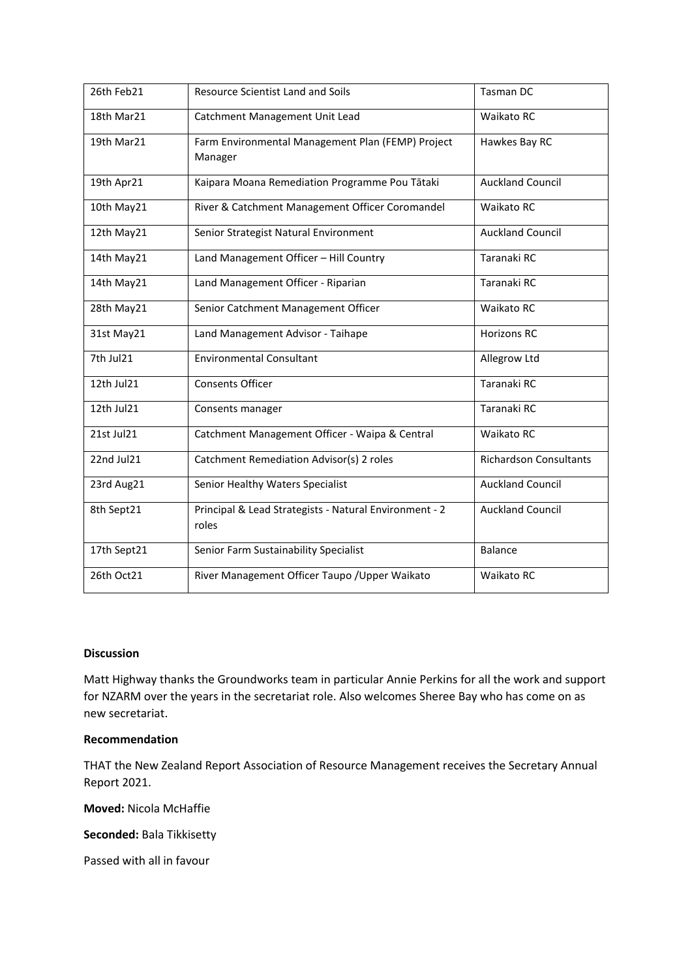| 26th Feb21  | <b>Resource Scientist Land and Soils</b>                        | <b>Tasman DC</b>              |
|-------------|-----------------------------------------------------------------|-------------------------------|
| 18th Mar21  | Catchment Management Unit Lead                                  | Waikato RC                    |
| 19th Mar21  | Farm Environmental Management Plan (FEMP) Project<br>Manager    | Hawkes Bay RC                 |
| 19th Apr21  | Kaipara Moana Remediation Programme Pou Tātaki                  | <b>Auckland Council</b>       |
| 10th May21  | River & Catchment Management Officer Coromandel                 | Waikato RC                    |
| 12th May21  | Senior Strategist Natural Environment                           | <b>Auckland Council</b>       |
| 14th May21  | Land Management Officer - Hill Country                          | Taranaki RC                   |
| 14th May21  | Land Management Officer - Riparian                              | Taranaki RC                   |
| 28th May21  | Senior Catchment Management Officer                             | <b>Waikato RC</b>             |
| 31st May21  | Land Management Advisor - Taihape                               | <b>Horizons RC</b>            |
| 7th Jul21   | <b>Environmental Consultant</b>                                 | Allegrow Ltd                  |
| 12th Jul21  | <b>Consents Officer</b>                                         | Taranaki RC                   |
| 12th Jul21  | Consents manager                                                | Taranaki RC                   |
| 21st Jul21  | Catchment Management Officer - Waipa & Central                  | Waikato RC                    |
| 22nd Jul21  | Catchment Remediation Advisor(s) 2 roles                        | <b>Richardson Consultants</b> |
| 23rd Aug21  | Senior Healthy Waters Specialist                                | <b>Auckland Council</b>       |
| 8th Sept21  | Principal & Lead Strategists - Natural Environment - 2<br>roles | <b>Auckland Council</b>       |
| 17th Sept21 | Senior Farm Sustainability Specialist                           | <b>Balance</b>                |
| 26th Oct21  | River Management Officer Taupo / Upper Waikato                  | Waikato RC                    |

#### **Discussion**

Matt Highway thanks the Groundworks team in particular Annie Perkins for all the work and support for NZARM over the years in the secretariat role. Also welcomes Sheree Bay who has come on as new secretariat.

#### **Recommendation**

THAT the New Zealand Report Association of Resource Management receives the Secretary Annual Report 2021.

**Moved:** Nicola McHaffie

**Seconded:** Bala Tikkisetty